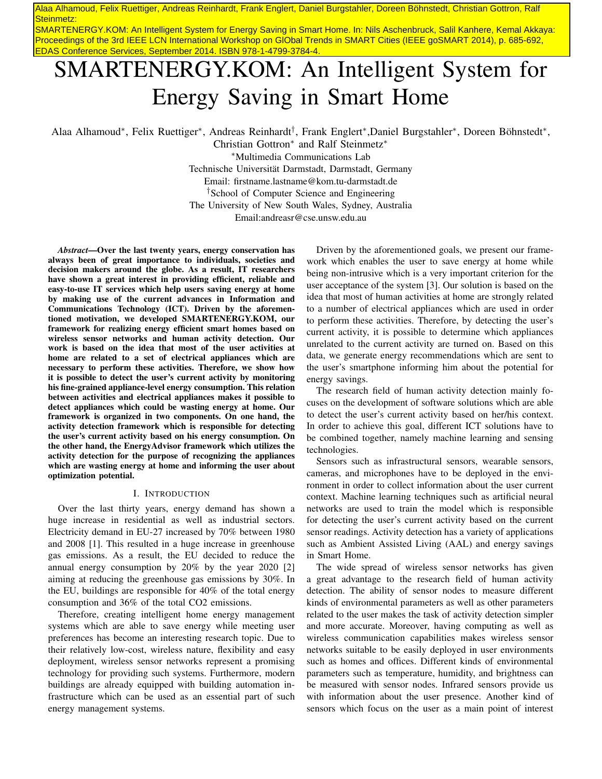Alaa Alhamoud, Felix Ruettiger, Andreas Reinhardt, Frank Englert, Daniel Burgstahler, Doreen Böhnstedt, Christian Gottron, Ralf Steinmetz:

SMARTENERGY.KOM: An Intelligent System for Energy Saving in Smart Home. In: Nils Aschenbruck, Salil Kanhere, Kemal Akkaya: Proceedings of the 3rd IEEE LCN International Workshop on GlObal Trends in SMART Cities (IEEE goSMART 2014), p. 685-692, EDAS Conference Services, September 2014. ISBN 978-1-4799-3784-4.

# SMARTENERGY.KOM: An Intelligent System for Energy Saving in Smart Home

Alaa Alhamoud\*, Felix Ruettiger\*, Andreas Reinhardt<sup>†</sup>, Frank Englert\*, Daniel Burgstahler\*, Doreen Böhnstedt\*,

Christian Gottron<sup>∗</sup> and Ralf Steinmetz<sup>∗</sup> <sup>∗</sup>Multimedia Communications Lab Technische Universität Darmstadt, Darmstadt, Germany Email: firstname.lastname@kom.tu-darmstadt.de †School of Computer Science and Engineering The University of New South Wales, Sydney, Australia Email:andreasr@cse.unsw.edu.au

*Abstract*—Over the last twenty years, energy conservation has always been of great importance to individuals, societies and decision makers around the globe. As a result, IT researchers have shown a great interest in providing efficient, reliable and easy-to-use IT services which help users saving energy at home by making use of the current advances in Information and Communications Technology (ICT). Driven by the aforementioned motivation, we developed SMARTENERGY.KOM, our framework for realizing energy efficient smart homes based on wireless sensor networks and human activity detection. Our work is based on the idea that most of the user activities at home are related to a set of electrical appliances which are necessary to perform these activities. Therefore, we show how it is possible to detect the user's current activity by monitoring his fine-grained appliance-level energy consumption. This relation between activities and electrical appliances makes it possible to detect appliances which could be wasting energy at home. Our framework is organized in two components. On one hand, the activity detection framework which is responsible for detecting the user's current activity based on his energy consumption. On the other hand, the EnergyAdvisor framework which utilizes the activity detection for the purpose of recognizing the appliances which are wasting energy at home and informing the user about optimization potential.

# I. INTRODUCTION

Over the last thirty years, energy demand has shown a huge increase in residential as well as industrial sectors. Electricity demand in EU-27 increased by 70% between 1980 and 2008 [1]. This resulted in a huge increase in greenhouse gas emissions. As a result, the EU decided to reduce the annual energy consumption by 20% by the year 2020 [2] aiming at reducing the greenhouse gas emissions by 30%. In the EU, buildings are responsible for 40% of the total energy consumption and 36% of the total CO2 emissions.

Therefore, creating intelligent home energy management systems which are able to save energy while meeting user preferences has become an interesting research topic. Due to their relatively low-cost, wireless nature, flexibility and easy deployment, wireless sensor networks represent a promising technology for providing such systems. Furthermore, modern buildings are already equipped with building automation infrastructure which can be used as an essential part of such energy management systems.

Driven by the aforementioned goals, we present our framework which enables the user to save energy at home while being non-intrusive which is a very important criterion for the user acceptance of the system [3]. Our solution is based on the idea that most of human activities at home are strongly related to a number of electrical appliances which are used in order to perform these activities. Therefore, by detecting the user's current activity, it is possible to determine which appliances unrelated to the current activity are turned on. Based on this data, we generate energy recommendations which are sent to the user's smartphone informing him about the potential for energy savings.

The research field of human activity detection mainly focuses on the development of software solutions which are able to detect the user's current activity based on her/his context. In order to achieve this goal, different ICT solutions have to be combined together, namely machine learning and sensing technologies.

Sensors such as infrastructural sensors, wearable sensors, cameras, and microphones have to be deployed in the environment in order to collect information about the user current context. Machine learning techniques such as artificial neural networks are used to train the model which is responsible for detecting the user's current activity based on the current sensor readings. Activity detection has a variety of applications such as Ambient Assisted Living (AAL) and energy savings in Smart Home.

The wide spread of wireless sensor networks has given a great advantage to the research field of human activity detection. The ability of sensor nodes to measure different kinds of environmental parameters as well as other parameters related to the user makes the task of activity detection simpler and more accurate. Moreover, having computing as well as wireless communication capabilities makes wireless sensor networks suitable to be easily deployed in user environments such as homes and offices. Different kinds of environmental parameters such as temperature, humidity, and brightness can be measured with sensor nodes. Infrared sensors provide us with information about the user presence. Another kind of sensors which focus on the user as a main point of interest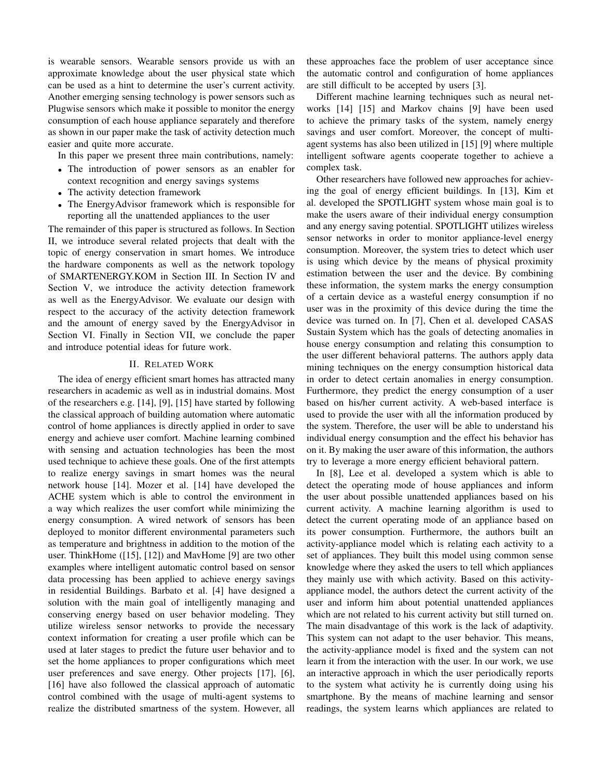is wearable sensors. Wearable sensors provide us with an approximate knowledge about the user physical state which can be used as a hint to determine the user's current activity. Another emerging sensing technology is power sensors such as Plugwise sensors which make it possible to monitor the energy consumption of each house appliance separately and therefore as shown in our paper make the task of activity detection much easier and quite more accurate.

In this paper we present three main contributions, namely:

- The introduction of power sensors as an enabler for context recognition and energy savings systems
- The activity detection framework
- The EnergyAdvisor framework which is responsible for reporting all the unattended appliances to the user

The remainder of this paper is structured as follows. In Section II, we introduce several related projects that dealt with the topic of energy conservation in smart homes. We introduce the hardware components as well as the network topology of SMARTENERGY.KOM in Section III. In Section IV and Section V, we introduce the activity detection framework as well as the EnergyAdvisor. We evaluate our design with respect to the accuracy of the activity detection framework and the amount of energy saved by the EnergyAdvisor in Section VI. Finally in Section VII, we conclude the paper and introduce potential ideas for future work.

## II. RELATED WORK

The idea of energy efficient smart homes has attracted many researchers in academic as well as in industrial domains. Most of the researchers e.g. [14], [9], [15] have started by following the classical approach of building automation where automatic control of home appliances is directly applied in order to save energy and achieve user comfort. Machine learning combined with sensing and actuation technologies has been the most used technique to achieve these goals. One of the first attempts to realize energy savings in smart homes was the neural network house [14]. Mozer et al. [14] have developed the ACHE system which is able to control the environment in a way which realizes the user comfort while minimizing the energy consumption. A wired network of sensors has been deployed to monitor different environmental parameters such as temperature and brightness in addition to the motion of the user. ThinkHome ([15], [12]) and MavHome [9] are two other examples where intelligent automatic control based on sensor data processing has been applied to achieve energy savings in residential Buildings. Barbato et al. [4] have designed a solution with the main goal of intelligently managing and conserving energy based on user behavior modeling. They utilize wireless sensor networks to provide the necessary context information for creating a user profile which can be used at later stages to predict the future user behavior and to set the home appliances to proper configurations which meet user preferences and save energy. Other projects [17], [6], [16] have also followed the classical approach of automatic control combined with the usage of multi-agent systems to realize the distributed smartness of the system. However, all these approaches face the problem of user acceptance since the automatic control and configuration of home appliances are still difficult to be accepted by users [3].

Different machine learning techniques such as neural networks [14] [15] and Markov chains [9] have been used to achieve the primary tasks of the system, namely energy savings and user comfort. Moreover, the concept of multiagent systems has also been utilized in [15] [9] where multiple intelligent software agents cooperate together to achieve a complex task.

Other researchers have followed new approaches for achieving the goal of energy efficient buildings. In [13], Kim et al. developed the SPOTLIGHT system whose main goal is to make the users aware of their individual energy consumption and any energy saving potential. SPOTLIGHT utilizes wireless sensor networks in order to monitor appliance-level energy consumption. Moreover, the system tries to detect which user is using which device by the means of physical proximity estimation between the user and the device. By combining these information, the system marks the energy consumption of a certain device as a wasteful energy consumption if no user was in the proximity of this device during the time the device was turned on. In [7], Chen et al. developed CASAS Sustain System which has the goals of detecting anomalies in house energy consumption and relating this consumption to the user different behavioral patterns. The authors apply data mining techniques on the energy consumption historical data in order to detect certain anomalies in energy consumption. Furthermore, they predict the energy consumption of a user based on his/her current activity. A web-based interface is used to provide the user with all the information produced by the system. Therefore, the user will be able to understand his individual energy consumption and the effect his behavior has on it. By making the user aware of this information, the authors try to leverage a more energy efficient behavioral pattern.

In [8], Lee et al. developed a system which is able to detect the operating mode of house appliances and inform the user about possible unattended appliances based on his current activity. A machine learning algorithm is used to detect the current operating mode of an appliance based on its power consumption. Furthermore, the authors built an activity-appliance model which is relating each activity to a set of appliances. They built this model using common sense knowledge where they asked the users to tell which appliances they mainly use with which activity. Based on this activityappliance model, the authors detect the current activity of the user and inform him about potential unattended appliances which are not related to his current activity but still turned on. The main disadvantage of this work is the lack of adaptivity. This system can not adapt to the user behavior. This means, the activity-appliance model is fixed and the system can not learn it from the interaction with the user. In our work, we use an interactive approach in which the user periodically reports to the system what activity he is currently doing using his smartphone. By the means of machine learning and sensor readings, the system learns which appliances are related to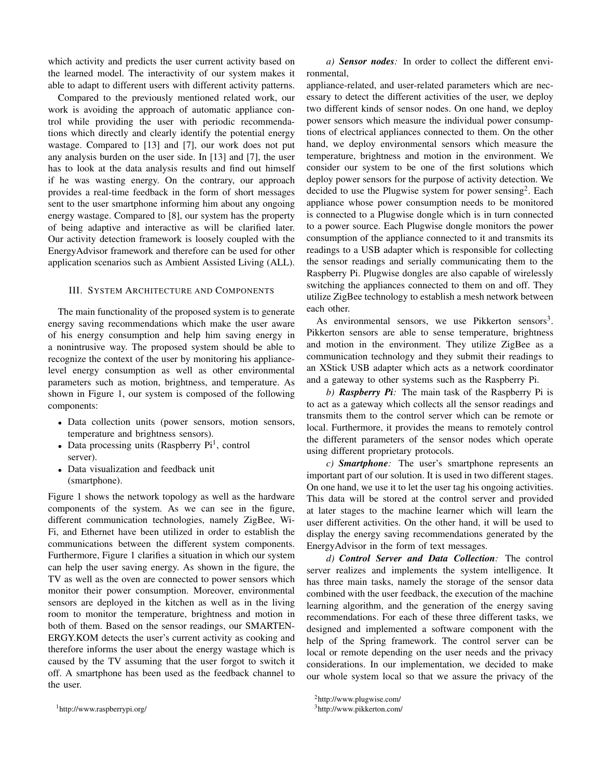which activity and predicts the user current activity based on the learned model. The interactivity of our system makes it able to adapt to different users with different activity patterns.

Compared to the previously mentioned related work, our work is avoiding the approach of automatic appliance control while providing the user with periodic recommendations which directly and clearly identify the potential energy wastage. Compared to [13] and [7], our work does not put any analysis burden on the user side. In [13] and [7], the user has to look at the data analysis results and find out himself if he was wasting energy. On the contrary, our approach provides a real-time feedback in the form of short messages sent to the user smartphone informing him about any ongoing energy wastage. Compared to [8], our system has the property of being adaptive and interactive as will be clarified later. Our activity detection framework is loosely coupled with the EnergyAdvisor framework and therefore can be used for other application scenarios such as Ambient Assisted Living (ALL).

## III. SYSTEM ARCHITECTURE AND COMPONENTS

The main functionality of the proposed system is to generate energy saving recommendations which make the user aware of his energy consumption and help him saving energy in a nonintrusive way. The proposed system should be able to recognize the context of the user by monitoring his appliancelevel energy consumption as well as other environmental parameters such as motion, brightness, and temperature. As shown in Figure 1, our system is composed of the following components:

- Data collection units (power sensors, motion sensors, temperature and brightness sensors).
- Data processing units (Raspberry  $Pi<sup>1</sup>$ , control server).
- Data visualization and feedback unit (smartphone).

Figure 1 shows the network topology as well as the hardware components of the system. As we can see in the figure, different communication technologies, namely ZigBee, Wi-Fi, and Ethernet have been utilized in order to establish the communications between the different system components. Furthermore, Figure 1 clarifies a situation in which our system can help the user saving energy. As shown in the figure, the TV as well as the oven are connected to power sensors which monitor their power consumption. Moreover, environmental sensors are deployed in the kitchen as well as in the living room to monitor the temperature, brightness and motion in both of them. Based on the sensor readings, our SMARTEN-ERGY.KOM detects the user's current activity as cooking and therefore informs the user about the energy wastage which is caused by the TV assuming that the user forgot to switch it off. A smartphone has been used as the feedback channel to the user.

<sup>1</sup>http://www.raspberrypi.org/

*a) Sensor nodes:* In order to collect the different environmental,

appliance-related, and user-related parameters which are necessary to detect the different activities of the user, we deploy two different kinds of sensor nodes. On one hand, we deploy power sensors which measure the individual power consumptions of electrical appliances connected to them. On the other hand, we deploy environmental sensors which measure the temperature, brightness and motion in the environment. We consider our system to be one of the first solutions which deploy power sensors for the purpose of activity detection. We decided to use the Plugwise system for power sensing<sup>2</sup>. Each appliance whose power consumption needs to be monitored is connected to a Plugwise dongle which is in turn connected to a power source. Each Plugwise dongle monitors the power consumption of the appliance connected to it and transmits its readings to a USB adapter which is responsible for collecting the sensor readings and serially communicating them to the Raspberry Pi. Plugwise dongles are also capable of wirelessly switching the appliances connected to them on and off. They utilize ZigBee technology to establish a mesh network between each other.

As environmental sensors, we use Pikkerton sensors<sup>3</sup>. Pikkerton sensors are able to sense temperature, brightness and motion in the environment. They utilize ZigBee as a communication technology and they submit their readings to an XStick USB adapter which acts as a network coordinator and a gateway to other systems such as the Raspberry Pi.

*b) Raspberry Pi:* The main task of the Raspberry Pi is to act as a gateway which collects all the sensor readings and transmits them to the control server which can be remote or local. Furthermore, it provides the means to remotely control the different parameters of the sensor nodes which operate using different proprietary protocols.

*c) Smartphone:* The user's smartphone represents an important part of our solution. It is used in two different stages. On one hand, we use it to let the user tag his ongoing activities. This data will be stored at the control server and provided at later stages to the machine learner which will learn the user different activities. On the other hand, it will be used to display the energy saving recommendations generated by the EnergyAdvisor in the form of text messages.

*d) Control Server and Data Collection:* The control server realizes and implements the system intelligence. It has three main tasks, namely the storage of the sensor data combined with the user feedback, the execution of the machine learning algorithm, and the generation of the energy saving recommendations. For each of these three different tasks, we designed and implemented a software component with the help of the Spring framework. The control server can be local or remote depending on the user needs and the privacy considerations. In our implementation, we decided to make our whole system local so that we assure the privacy of the

<sup>2</sup>http://www.plugwise.com/

<sup>3</sup>http://www.pikkerton.com/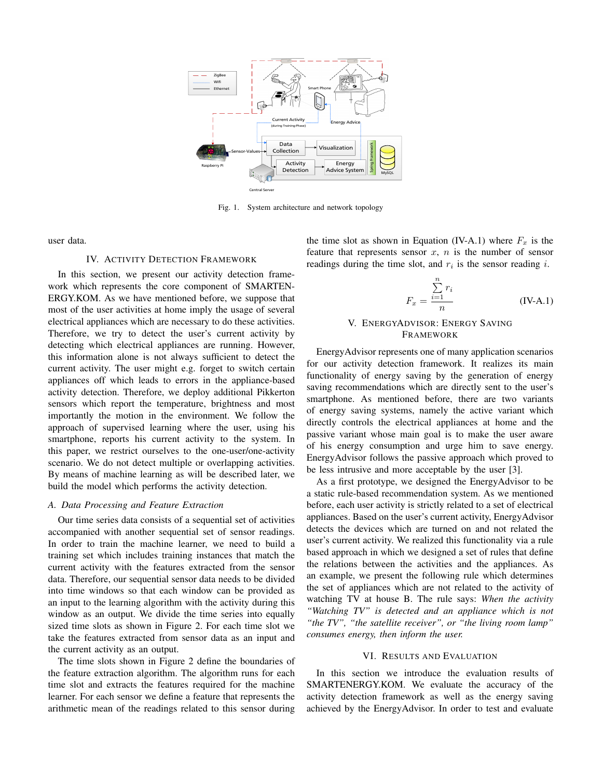

Fig. 1. System architecture and network topology

user data.

# IV. ACTIVITY DETECTION FRAMEWORK

In this section, we present our activity detection framework which represents the core component of SMARTEN-ERGY.KOM. As we have mentioned before, we suppose that most of the user activities at home imply the usage of several electrical appliances which are necessary to do these activities. Therefore, we try to detect the user's current activity by detecting which electrical appliances are running. However, this information alone is not always sufficient to detect the current activity. The user might e.g. forget to switch certain appliances off which leads to errors in the appliance-based activity detection. Therefore, we deploy additional Pikkerton sensors which report the temperature, brightness and most importantly the motion in the environment. We follow the approach of supervised learning where the user, using his smartphone, reports his current activity to the system. In this paper, we restrict ourselves to the one-user/one-activity scenario. We do not detect multiple or overlapping activities. By means of machine learning as will be described later, we build the model which performs the activity detection.

#### *A. Data Processing and Feature Extraction*

Our time series data consists of a sequential set of activities accompanied with another sequential set of sensor readings. In order to train the machine learner, we need to build a training set which includes training instances that match the current activity with the features extracted from the sensor data. Therefore, our sequential sensor data needs to be divided into time windows so that each window can be provided as an input to the learning algorithm with the activity during this window as an output. We divide the time series into equally sized time slots as shown in Figure 2. For each time slot we take the features extracted from sensor data as an input and the current activity as an output.

The time slots shown in Figure 2 define the boundaries of the feature extraction algorithm. The algorithm runs for each time slot and extracts the features required for the machine learner. For each sensor we define a feature that represents the arithmetic mean of the readings related to this sensor during

the time slot as shown in Equation (IV-A.1) where  $F_x$  is the feature that represents sensor  $x$ ,  $n$  is the number of sensor readings during the time slot, and  $r_i$  is the sensor reading i.

$$
F_x = \frac{\sum_{i=1}^{n} r_i}{n}
$$
 (IV-A.1)

# V. ENERGYADVISOR: ENERGY SAVING FRAMEWORK

EnergyAdvisor represents one of many application scenarios for our activity detection framework. It realizes its main functionality of energy saving by the generation of energy saving recommendations which are directly sent to the user's smartphone. As mentioned before, there are two variants of energy saving systems, namely the active variant which directly controls the electrical appliances at home and the passive variant whose main goal is to make the user aware of his energy consumption and urge him to save energy. EnergyAdvisor follows the passive approach which proved to be less intrusive and more acceptable by the user [3].

As a first prototype, we designed the EnergyAdvisor to be a static rule-based recommendation system. As we mentioned before, each user activity is strictly related to a set of electrical appliances. Based on the user's current activity, EnergyAdvisor detects the devices which are turned on and not related the user's current activity. We realized this functionality via a rule based approach in which we designed a set of rules that define the relations between the activities and the appliances. As an example, we present the following rule which determines the set of appliances which are not related to the activity of watching TV at house B. The rule says: *When the activity "Watching TV" is detected and an appliance which is not "the TV", "the satellite receiver", or "the living room lamp" consumes energy, then inform the user.*

### VI. RESULTS AND EVALUATION

In this section we introduce the evaluation results of SMARTENERGY.KOM. We evaluate the accuracy of the activity detection framework as well as the energy saving achieved by the EnergyAdvisor. In order to test and evaluate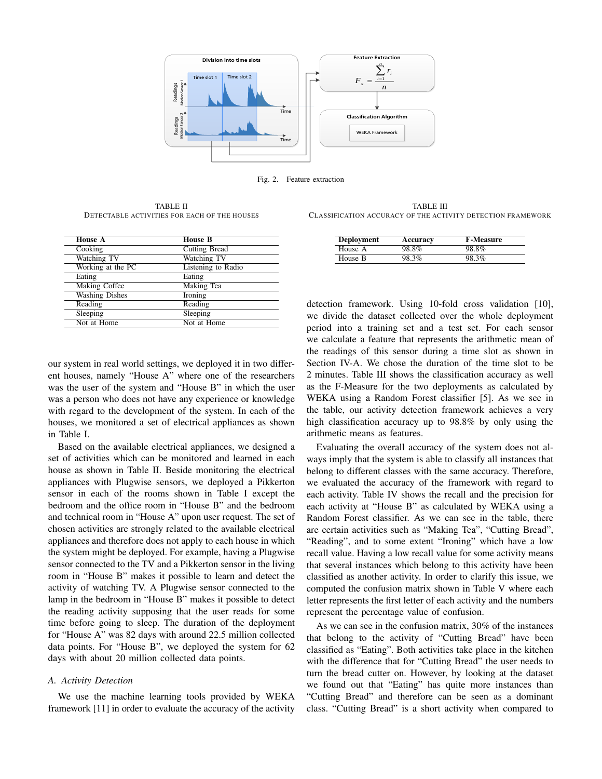

Fig. 2. Feature extraction

TABLE II DETECTABLE ACTIVITIES FOR EACH OF THE HOUSES

| House A               | <b>House B</b>     |
|-----------------------|--------------------|
| Cooking               | Cutting Bread      |
| Watching TV           | Watching TV        |
| Working at the PC     | Listening to Radio |
| Eating                | Eating             |
| Making Coffee         | Making Tea         |
| <b>Washing Dishes</b> | Ironing            |
| Reading               | Reading            |
| Sleeping              | Sleeping           |
| Not at Home           | Not at Home        |

our system in real world settings, we deployed it in two different houses, namely "House A" where one of the researchers was the user of the system and "House B" in which the user was a person who does not have any experience or knowledge with regard to the development of the system. In each of the houses, we monitored a set of electrical appliances as shown in Table I.

Based on the available electrical appliances, we designed a set of activities which can be monitored and learned in each house as shown in Table II. Beside monitoring the electrical appliances with Plugwise sensors, we deployed a Pikkerton sensor in each of the rooms shown in Table I except the bedroom and the office room in "House B" and the bedroom and technical room in "House A" upon user request. The set of chosen activities are strongly related to the available electrical appliances and therefore does not apply to each house in which the system might be deployed. For example, having a Plugwise sensor connected to the TV and a Pikkerton sensor in the living room in "House B" makes it possible to learn and detect the activity of watching TV. A Plugwise sensor connected to the lamp in the bedroom in "House B" makes it possible to detect the reading activity supposing that the user reads for some time before going to sleep. The duration of the deployment for "House A" was 82 days with around 22.5 million collected data points. For "House B", we deployed the system for 62 days with about 20 million collected data points.

## *A. Activity Detection*

We use the machine learning tools provided by WEKA framework [11] in order to evaluate the accuracy of the activity

TABLE III CLASSIFICATION ACCURACY OF THE ACTIVITY DETECTION FRAMEWORK

| Deployment | Accuracy | <b>F-Measure</b> |
|------------|----------|------------------|
| House A    | 98.8%    | 98.8%            |
| House B    | 98.3%    | 98.3%            |

detection framework. Using 10-fold cross validation [10], we divide the dataset collected over the whole deployment period into a training set and a test set. For each sensor we calculate a feature that represents the arithmetic mean of the readings of this sensor during a time slot as shown in Section IV-A. We chose the duration of the time slot to be 2 minutes. Table III shows the classification accuracy as well as the F-Measure for the two deployments as calculated by WEKA using a Random Forest classifier [5]. As we see in the table, our activity detection framework achieves a very high classification accuracy up to 98.8% by only using the arithmetic means as features.

Evaluating the overall accuracy of the system does not always imply that the system is able to classify all instances that belong to different classes with the same accuracy. Therefore, we evaluated the accuracy of the framework with regard to each activity. Table IV shows the recall and the precision for each activity at "House B" as calculated by WEKA using a Random Forest classifier. As we can see in the table, there are certain activities such as "Making Tea", "Cutting Bread", "Reading", and to some extent "Ironing" which have a low recall value. Having a low recall value for some activity means that several instances which belong to this activity have been classified as another activity. In order to clarify this issue, we computed the confusion matrix shown in Table V where each letter represents the first letter of each activity and the numbers represent the percentage value of confusion.

As we can see in the confusion matrix, 30% of the instances that belong to the activity of "Cutting Bread" have been classified as "Eating". Both activities take place in the kitchen with the difference that for "Cutting Bread" the user needs to turn the bread cutter on. However, by looking at the dataset we found out that "Eating" has quite more instances than "Cutting Bread" and therefore can be seen as a dominant class. "Cutting Bread" is a short activity when compared to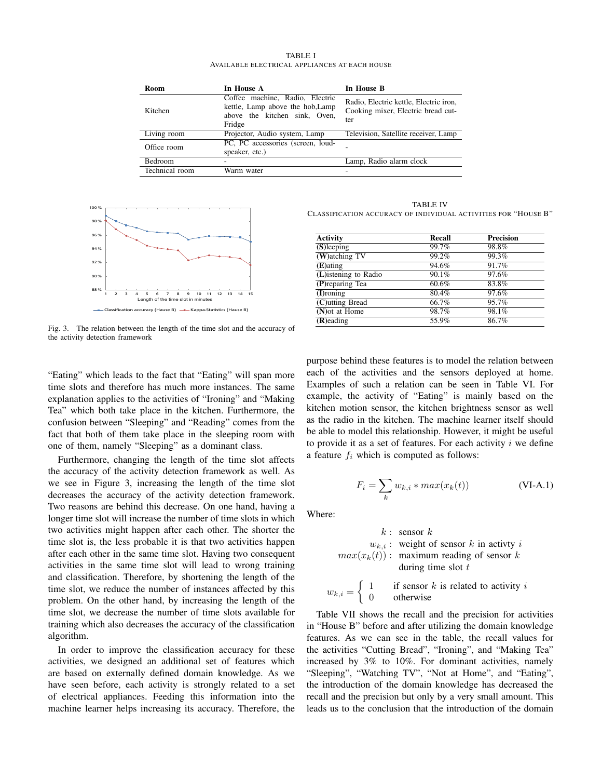TABLE I AVAILABLE ELECTRICAL APPLIANCES AT EACH HOUSE

| <b>Room</b>    | In House A                                                                                                     | <b>In House B</b>                                                                   |
|----------------|----------------------------------------------------------------------------------------------------------------|-------------------------------------------------------------------------------------|
| Kitchen        | Coffee machine, Radio, Electric<br>kettle, Lamp above the hob, Lamp<br>above the kitchen sink, Oven,<br>Fridge | Radio, Electric kettle, Electric iron,<br>Cooking mixer, Electric bread cut-<br>ter |
| Living room    | Projector, Audio system, Lamp                                                                                  | Television, Satellite receiver, Lamp                                                |
| Office room    | PC, PC accessories (screen, loud-<br>speaker, etc.)                                                            |                                                                                     |
| <b>Bedroom</b> |                                                                                                                | Lamp, Radio alarm clock                                                             |
| Technical room | Warm water                                                                                                     |                                                                                     |



Fig. 3. The relation between the length of the time slot and the accuracy of the activity detection framework

"Eating" which leads to the fact that "Eating" will span more time slots and therefore has much more instances. The same explanation applies to the activities of "Ironing" and "Making Tea" which both take place in the kitchen. Furthermore, the confusion between "Sleeping" and "Reading" comes from the fact that both of them take place in the sleeping room with one of them, namely "Sleeping" as a dominant class.

Furthermore, changing the length of the time slot affects the accuracy of the activity detection framework as well. As we see in Figure 3, increasing the length of the time slot decreases the accuracy of the activity detection framework. Two reasons are behind this decrease. On one hand, having a longer time slot will increase the number of time slots in which two activities might happen after each other. The shorter the time slot is, the less probable it is that two activities happen after each other in the same time slot. Having two consequent activities in the same time slot will lead to wrong training and classification. Therefore, by shortening the length of the time slot, we reduce the number of instances affected by this problem. On the other hand, by increasing the length of the time slot, we decrease the number of time slots available for training which also decreases the accuracy of the classification algorithm.

In order to improve the classification accuracy for these activities, we designed an additional set of features which are based on externally defined domain knowledge. As we have seen before, each activity is strongly related to a set of electrical appliances. Feeding this information into the machine learner helps increasing its accuracy. Therefore, the

TABLE IV CLASSIFICATION ACCURACY OF INDIVIDUAL ACTIVITIES FOR "HOUSE B"

| Recall | Precision |
|--------|-----------|
| 99.7%  | 98.8%     |
| 99.2%  | 99.3%     |
| 94.6%  | 91.7%     |
| 90.1%  | 97.6%     |
| 60.6%  | 83.8%     |
| 80.4%  | 97.6%     |
| 66.7%  | 95.7%     |
| 98.7%  | 98.1%     |
| 55.9%  | 86.7%     |
|        |           |

purpose behind these features is to model the relation between each of the activities and the sensors deployed at home. Examples of such a relation can be seen in Table VI. For example, the activity of "Eating" is mainly based on the kitchen motion sensor, the kitchen brightness sensor as well as the radio in the kitchen. The machine learner itself should be able to model this relationship. However, it might be useful to provide it as a set of features. For each activity  $i$  we define a feature  $f_i$  which is computed as follows:

$$
F_i = \sum_k w_{k,i} * max(x_k(t))
$$
 (VI-A.1)

Where:

$$
k: \text{ sensor } k
$$
  
\n
$$
w_{k,i}: \text{ weight of sensor } k \text{ in activity } i
$$
  
\n
$$
max(x_k(t)): \text{ maximum reading of sensor } k
$$
  
\nduring time slot  $t$ 

$$
w_{k,i} = \begin{cases} 1 & \text{if sensor } k \text{ is related to activity } i \\ 0 & \text{otherwise} \end{cases}
$$

Table VII shows the recall and the precision for activities in "House B" before and after utilizing the domain knowledge features. As we can see in the table, the recall values for the activities "Cutting Bread", "Ironing", and "Making Tea" increased by 3% to 10%. For dominant activities, namely "Sleeping", "Watching TV", "Not at Home", and "Eating", the introduction of the domain knowledge has decreased the recall and the precision but only by a very small amount. This leads us to the conclusion that the introduction of the domain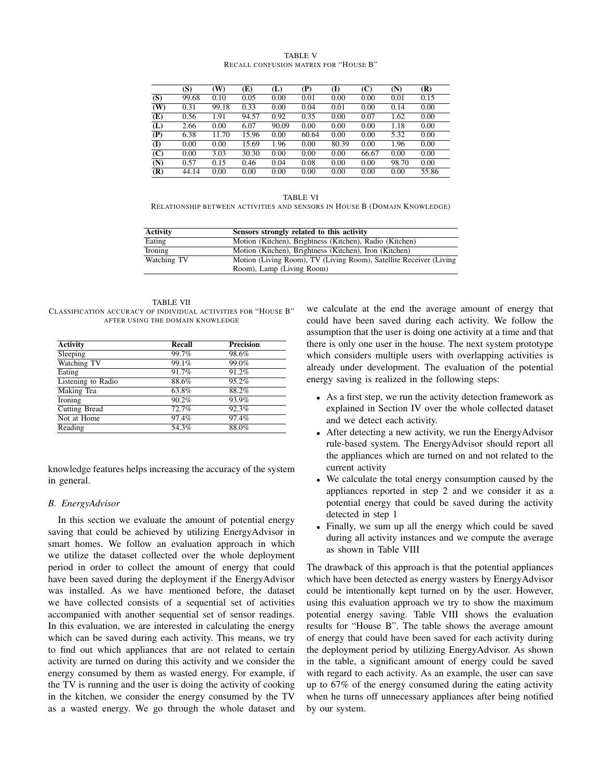| <b>TABLE V</b> |                                       |  |  |  |  |
|----------------|---------------------------------------|--|--|--|--|
|                | RECALL CONFUSION MATRIX FOR "HOUSE B" |  |  |  |  |

|     | (S)   | (W)   | Œ)    | (L)   | (P)   | (I)   | (C)   | (N)   | (R)   |
|-----|-------|-------|-------|-------|-------|-------|-------|-------|-------|
| (S) | 99.68 | 0.10  | 0.05  | 0.00  | 0.01  | 0.00  | 0.00  | 0.01  | 0.15  |
| (W) | 0.31  | 99.18 | 0.33  | 0.00  | 0.04  | 0.01  | 0.00  | 0.14  | 0.00  |
| (E) | 0.56  | 1.91  | 94.57 | 0.92  | 0.35  | 0.00  | 0.07  | 1.62  | 0.00  |
| (L) | 2.66  | 0.00  | 6.07  | 90.09 | 0.00  | 0.00  | 0.00  | 1.18  | 0.00  |
| (P) | 6.38  | 11.70 | 15.96 | 0.00  | 60.64 | 0.00  | 0.00  | 5.32  | 0.00  |
| (I) | 0.00  | 0.00  | 15.69 | 1.96  | 0.00  | 80.39 | 0.00  | 1.96  | 0.00  |
| (C) | 0.00  | 3.03  | 30.30 | 0.00  | 0.00  | 0.00  | 66.67 | 0.00  | 0.00  |
| (N) | 0.57  | 0.15  | 0.46  | 0.04  | 0.08  | 0.00  | 0.00  | 98.70 | 0.00  |
| (R) | 44.14 | 0.00  | 0.00  | 0.00  | 0.00  | 0.00  | 0.00  | 0.00  | 55.86 |

TABLE VI RELATIONSHIP BETWEEN ACTIVITIES AND SENSORS IN HOUSE B (DOMAIN KNOWLEDGE)

| <b>Activity</b> | Sensors strongly related to this activity                          |
|-----------------|--------------------------------------------------------------------|
| Eating          | Motion (Kitchen), Brightness (Kitchen), Radio (Kitchen)            |
| Ironing         | Motion (Kitchen), Brightness (Kitchen), Iron (Kitchen)             |
| Watching TV     | Motion (Living Room), TV (Living Room), Satellite Receiver (Living |
|                 | Room), Lamp (Living Room)                                          |

TABLE VII CLASSIFICATION ACCURACY OF INDIVIDUAL ACTIVITIES FOR "HOUSE B" AFTER USING THE DOMAIN KNOWLEDGE

| <b>Activity</b>      | Recall | <b>Precision</b> |
|----------------------|--------|------------------|
| Sleeping             | 99.7%  | 98.6%            |
| Watching TV          | 99.1%  | 99.0%            |
| Eating               | 91.7%  | 91.2%            |
| Listening to Radio   | 88.6%  | 95.2%            |
| Making Tea           | 63.8%  | 88.2%            |
| Ironing              | 90.2%  | 93.9%            |
| <b>Cutting Bread</b> | 72.7%  | 92.3%            |
| Not at Home          | 97.4%  | 97.4%            |
| Reading              | 54.3%  | 88.0%            |
|                      |        |                  |

knowledge features helps increasing the accuracy of the system in general.

# *B. EnergyAdvisor*

In this section we evaluate the amount of potential energy saving that could be achieved by utilizing EnergyAdvisor in smart homes. We follow an evaluation approach in which we utilize the dataset collected over the whole deployment period in order to collect the amount of energy that could have been saved during the deployment if the EnergyAdvisor was installed. As we have mentioned before, the dataset we have collected consists of a sequential set of activities accompanied with another sequential set of sensor readings. In this evaluation, we are interested in calculating the energy which can be saved during each activity. This means, we try to find out which appliances that are not related to certain activity are turned on during this activity and we consider the energy consumed by them as wasted energy. For example, if the TV is running and the user is doing the activity of cooking in the kitchen, we consider the energy consumed by the TV as a wasted energy. We go through the whole dataset and

we calculate at the end the average amount of energy that could have been saved during each activity. We follow the assumption that the user is doing one activity at a time and that there is only one user in the house. The next system prototype which considers multiple users with overlapping activities is already under development. The evaluation of the potential energy saving is realized in the following steps:

- As a first step, we run the activity detection framework as explained in Section IV over the whole collected dataset and we detect each activity.
- After detecting a new activity, we run the EnergyAdvisor rule-based system. The EnergyAdvisor should report all the appliances which are turned on and not related to the current activity
- We calculate the total energy consumption caused by the appliances reported in step 2 and we consider it as a potential energy that could be saved during the activity detected in step 1
- Finally, we sum up all the energy which could be saved during all activity instances and we compute the average as shown in Table VIII

The drawback of this approach is that the potential appliances which have been detected as energy wasters by EnergyAdvisor could be intentionally kept turned on by the user. However, using this evaluation approach we try to show the maximum potential energy saving. Table VIII shows the evaluation results for "House B". The table shows the average amount of energy that could have been saved for each activity during the deployment period by utilizing EnergyAdvisor. As shown in the table, a significant amount of energy could be saved with regard to each activity. As an example, the user can save up to 67% of the energy consumed during the eating activity when he turns off unnecessary appliances after being notified by our system.